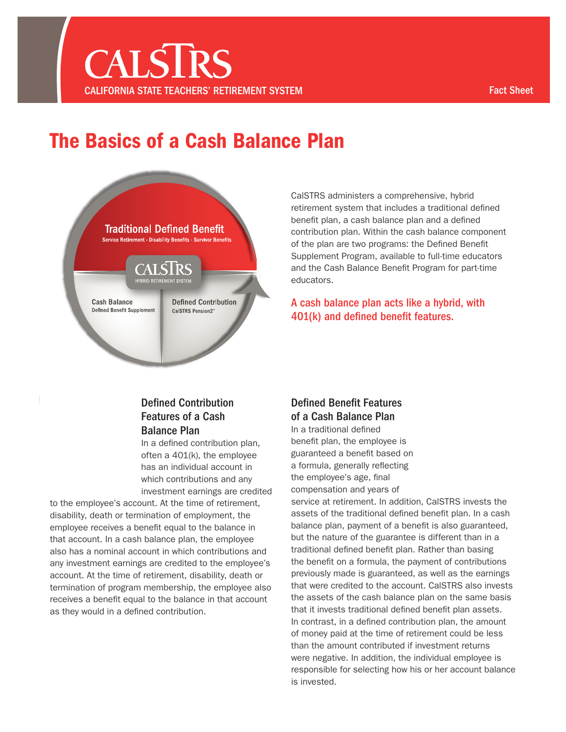## The Basics of a Cash Balance Plan



CalSTRS administers a comprehensive, hybrid retirement system that includes a traditional defned benefit plan, a cash balance plan and a defined contribution plan. Within the cash balance component of the plan are two programs: the Defined Benefit Supplement Program, available to full-time educators and the Cash Balance Beneft Program for part-time educators.

A cash balance plan acts like a hybrid, with 401(k) and defined benefit features.

### Defined Contribution Features of a Cash Balance Plan

In a defned contribution plan, often a 401(k), the employee has an individual account in which contributions and any investment earnings are credited

to the employee's account. At the time of retirement, disability, death or termination of employment, the employee receives a beneft equal to the balance in that account. In a cash balance plan, the employee also has a nominal account in which contributions and any investment earnings are credited to the employee's account. At the time of retirement, disability, death or termination of program membership, the employee also receives a beneft equal to the balance in that account as they would in a defned contribution.

### Defined Benefit Features of a Cash Balance Plan

In a traditional defned benefit plan, the employee is guaranteed a beneft based on a formula, generally refecting the employee's age, final compensation and years of service at retirement. In addition, CalSTRS invests the assets of the traditional defned beneft plan. In a cash balance plan, payment of a benefit is also guaranteed, but the nature of the guarantee is different than in a traditional defined benefit plan. Rather than basing the benefit on a formula, the payment of contributions previously made is guaranteed, as well as the earnings that were credited to the account. CalSTRS also invests the assets of the cash balance plan on the same basis that it invests traditional defined benefit plan assets. In contrast, in a defined contribution plan, the amount of money paid at the time of retirement could be less than the amount contributed if investment returns were negative. In addition, the individual employee is responsible for selecting how his or her account balance is invested.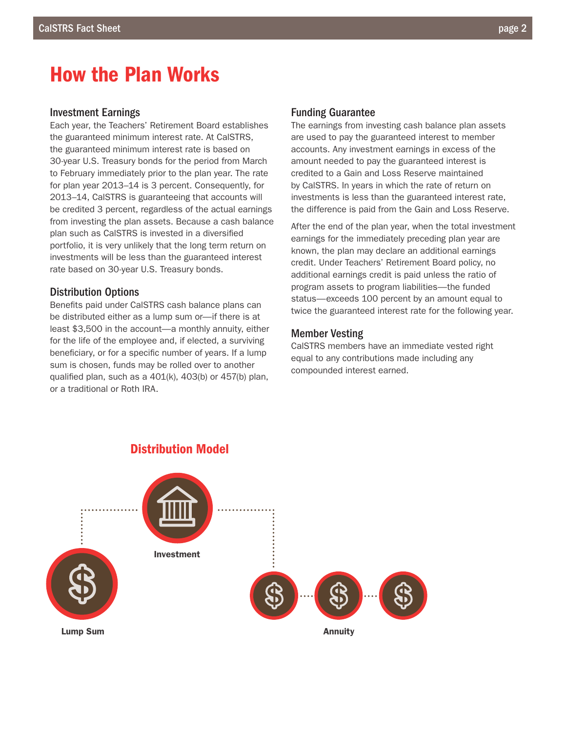### How the Plan Works

#### Investment Earnings

Each year, the Teachers' Retirement Board establishes the guaranteed minimum interest rate. At CalSTRS, the guaranteed minimum interest rate is based on 30-year U.S. Treasury bonds for the period from March to February immediately prior to the plan year. The rate for plan year 2013–14 is 3 percent. Consequently, for 2013–14, CalSTRS is guaranteeing that accounts will be credited 3 percent, regardless of the actual earnings from investing the plan assets. Because a cash balance plan such as CalSTRS is invested in a diversifed portfolio, it is very unlikely that the long term return on investments will be less than the guaranteed interest rate based on 30-year U.S. Treasury bonds.

### Distribution Options

Benefts paid under CalSTRS cash balance plans can be distributed either as a lump sum or—if there is at least \$3,500 in the account—a monthly annuity, either for the life of the employee and, if elected, a surviving beneficiary, or for a specific number of years. If a lump sum is chosen, funds may be rolled over to another qualifed plan, such as a 401(k), 403(b) or 457(b) plan, or a traditional or Roth IRA.

### Funding Guarantee

The earnings from investing cash balance plan assets are used to pay the guaranteed interest to member accounts. Any investment earnings in excess of the amount needed to pay the guaranteed interest is credited to a Gain and Loss Reserve maintained by CalSTRS. In years in which the rate of return on investments is less than the guaranteed interest rate, the difference is paid from the Gain and Loss Reserve.

After the end of the plan year, when the total investment earnings for the immediately preceding plan year are known, the plan may declare an additional earnings credit. Under Teachers' Retirement Board policy, no additional earnings credit is paid unless the ratio of program assets to program liabilities—the funded status—exceeds 100 percent by an amount equal to twice the guaranteed interest rate for the following year.

#### Member Vesting

CalSTRS members have an immediate vested right equal to any contributions made including any compounded interest earned.

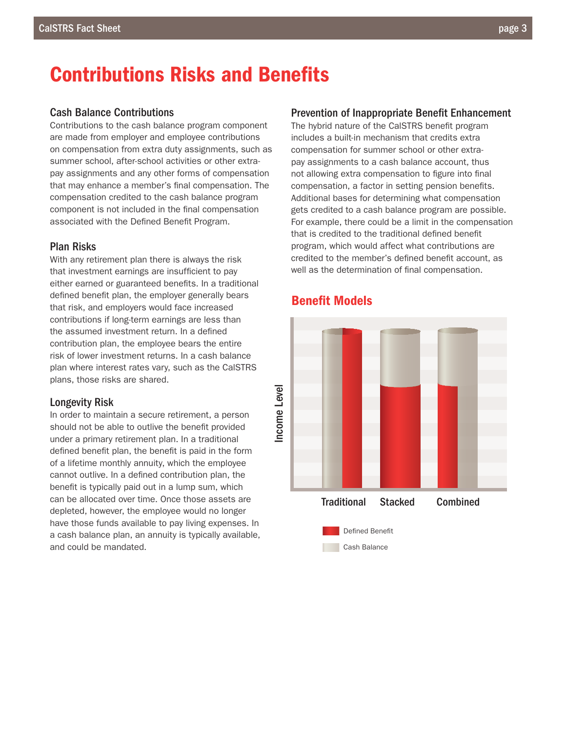### **Contributions Risks and Benefits**

### Cash Balance Contributions

Contributions to the cash balance program component are made from employer and employee contributions on compensation from extra duty assignments, such as summer school, after-school activities or other extrapay assignments and any other forms of compensation that may enhance a member's fnal compensation. The compensation credited to the cash balance program component is not included in the final compensation associated with the Defned Beneft Program.

### Plan Risks

With any retirement plan there is always the risk that investment earnings are insufficient to pay either earned or guaranteed benefits. In a traditional defined benefit plan, the employer generally bears that risk, and employers would face increased contributions if long-term earnings are less than the assumed investment return. In a defined contribution plan, the employee bears the entire risk of lower investment returns. In a cash balance plan where interest rates vary, such as the CalSTRS plans, those risks are shared.

#### Longevity Risk

In order to maintain a secure retirement, a person should not be able to outlive the benefit provided under a primary retirement plan. In a traditional defined benefit plan, the benefit is paid in the form of a lifetime monthly annuity, which the employee cannot outlive. In a defned contribution plan, the benefit is typically paid out in a lump sum, which can be allocated over time. Once those assets are depleted, however, the employee would no longer have those funds available to pay living expenses. In a cash balance plan, an annuity is typically available, and could be mandated.

#### Prevention of Inappropriate Benefit Enhancement

The hybrid nature of the CalSTRS beneft program includes a built-in mechanism that credits extra compensation for summer school or other extrapay assignments to a cash balance account, thus not allowing extra compensation to figure into final compensation, a factor in setting pension benefits. Additional bases for determining what compensation gets credited to a cash balance program are possible. For example, there could be a limit in the compensation that is credited to the traditional defned beneft program, which would affect what contributions are credited to the member's defined benefit account, as well as the determination of final compensation.



### **Benefit Models**